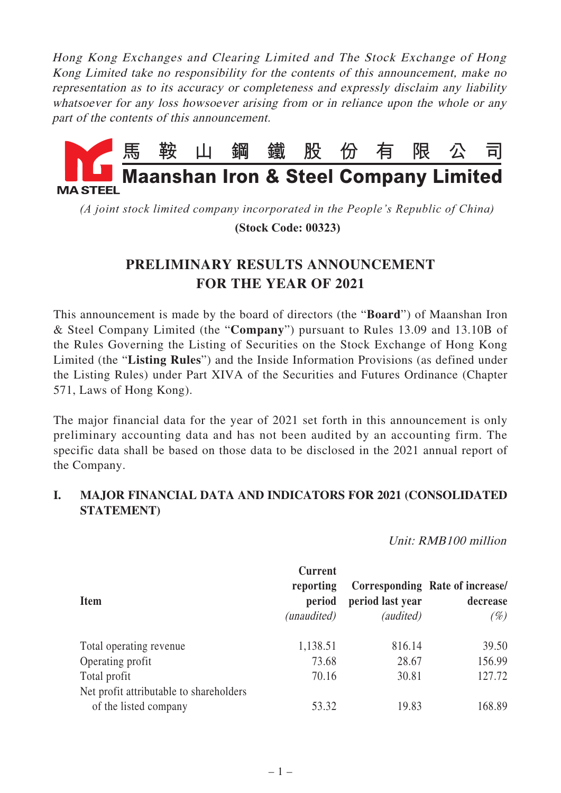Hong Kong Exchanges and Clearing Limited and The Stock Exchange of Hong Kong Limited take no responsibility for the contents of this announcement, make no representation as to its accuracy or completeness and expressly disclaim any liability whatsoever for any loss howsoever arising from or in reliance upon the whole or any part of the contents of this announcement.



*(A joint stock limited company incorporated in the People's Republic of China)*

 **(Stock Code: 00323)**

## **PRELIMINARY RESULTS ANNOUNCEMENT FOR THE YEAR OF 2021**

This announcement is made by the board of directors (the "**Board**") of Maanshan Iron & Steel Company Limited (the "**Company**") pursuant to Rules 13.09 and 13.10B of the Rules Governing the Listing of Securities on the Stock Exchange of Hong Kong Limited (the "**Listing Rules**") and the Inside Information Provisions (as defined under the Listing Rules) under Part XIVA of the Securities and Futures Ordinance (Chapter 571, Laws of Hong Kong).

The major financial data for the year of 2021 set forth in this announcement is only preliminary accounting data and has not been audited by an accounting firm. The specific data shall be based on those data to be disclosed in the 2021 annual report of the Company.

## **I. MAJOR FINANCIAL DATA AND INDICATORS FOR 2021 (CONSOLIDATED STATEMENT)**

Unit: RMB100 million

| <b>Item</b>                                                      | <b>Current</b><br>reporting<br>period<br>(unaudited) | period last year<br><i>(audited)</i> | Corresponding Rate of increase/<br>decrease<br>$(\%)$ |
|------------------------------------------------------------------|------------------------------------------------------|--------------------------------------|-------------------------------------------------------|
| Total operating revenue                                          | 1,138.51                                             | 816.14                               | 39.50                                                 |
| Operating profit                                                 | 73.68                                                | 28.67                                | 156.99                                                |
| Total profit                                                     | 70.16                                                | 30.81                                | 127.72                                                |
| Net profit attributable to shareholders<br>of the listed company | 53.32                                                | 19.83                                | 168.89                                                |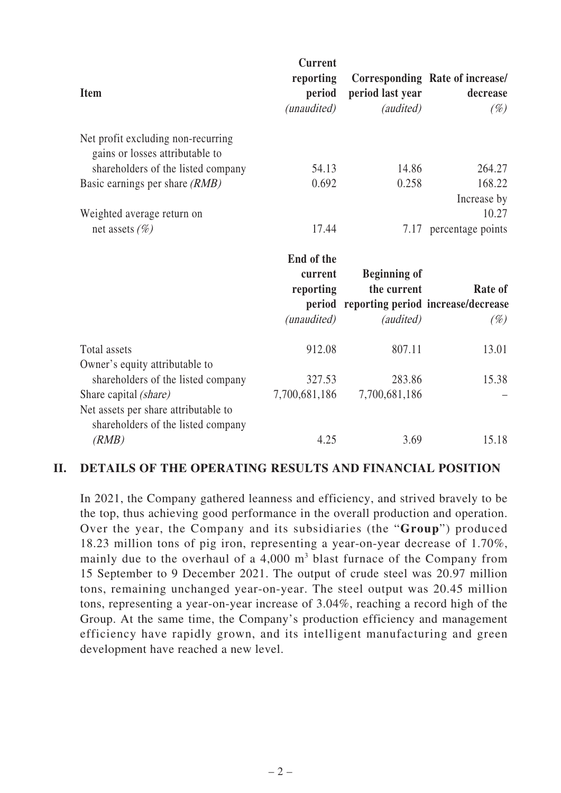| <b>Item</b>                                                                                         | <b>Current</b><br>reporting<br>period | period last year                          | Corresponding Rate of increase/<br>decrease |
|-----------------------------------------------------------------------------------------------------|---------------------------------------|-------------------------------------------|---------------------------------------------|
|                                                                                                     | (unaudited)                           | (audited)                                 | $(\%)$                                      |
| Net profit excluding non-recurring<br>gains or losses attributable to                               |                                       |                                           |                                             |
| shareholders of the listed company                                                                  | 54.13                                 | 14.86                                     | 264.27                                      |
| Basic earnings per share (RMB)                                                                      | 0.692                                 | 0.258                                     | 168.22                                      |
| Weighted average return on                                                                          |                                       |                                           | Increase by<br>10.27                        |
| net assets $(\%)$                                                                                   | 17.44                                 |                                           | 7.17 percentage points                      |
|                                                                                                     | End of the                            |                                           |                                             |
|                                                                                                     | current                               | <b>Beginning of</b>                       |                                             |
|                                                                                                     | reporting                             | the current                               | Rate of                                     |
|                                                                                                     |                                       | period reporting period increase/decrease |                                             |
|                                                                                                     | (unaudited)                           | (audited)                                 | $(\%)$                                      |
| Total assets<br>Owner's equity attributable to                                                      | 912.08                                | 807.11                                    | 13.01                                       |
| shareholders of the listed company                                                                  | 327.53                                | 283.86                                    | 15.38                                       |
| Share capital (share)<br>Net assets per share attributable to<br>shareholders of the listed company | 7,700,681,186                         | 7,700,681,186                             |                                             |
| (RMB)                                                                                               | 4.25                                  | 3.69                                      | 15.18                                       |

## **II. DETAILS OF THE OPERATING RESULTS AND FINANCIAL POSITION**

In 2021, the Company gathered leanness and efficiency, and strived bravely to be the top, thus achieving good performance in the overall production and operation. Over the year, the Company and its subsidiaries (the "**Group**") produced 18.23 million tons of pig iron, representing a year-on-year decrease of 1.70%, mainly due to the overhaul of a  $4,000$  m<sup>3</sup> blast furnace of the Company from 15 September to 9 December 2021. The output of crude steel was 20.97 million tons, remaining unchanged year-on-year. The steel output was 20.45 million tons, representing a year-on-year increase of 3.04%, reaching a record high of the Group. At the same time, the Company's production efficiency and management efficiency have rapidly grown, and its intelligent manufacturing and green development have reached a new level.